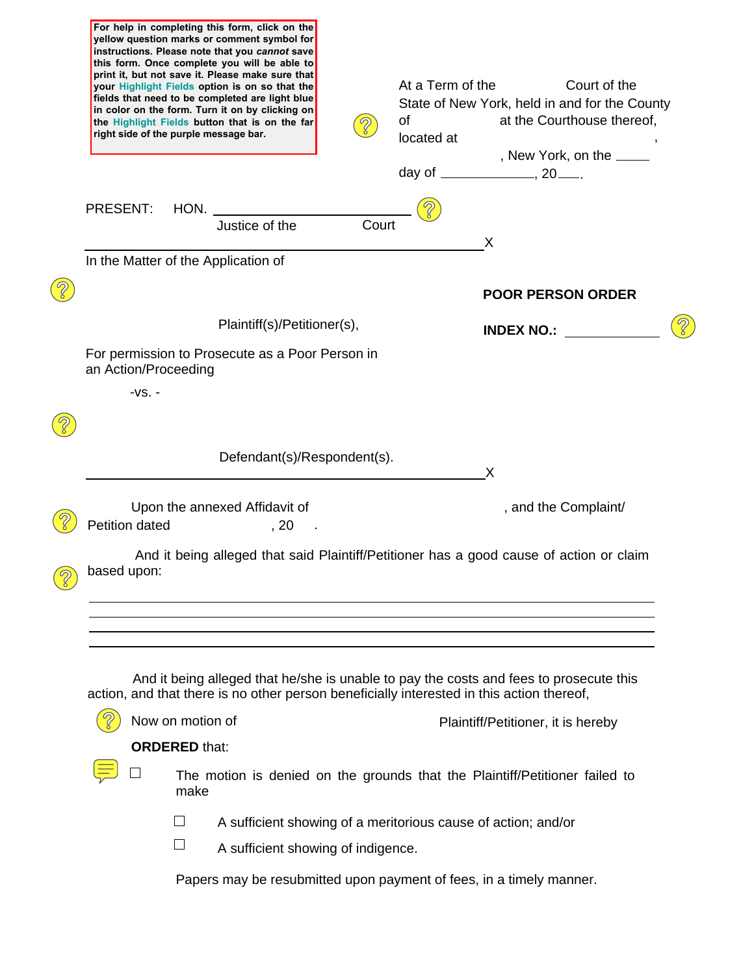| yellow question marks or comment symbol for<br>instructions. Please note that you cannot save<br>this form. Once complete you will be able to<br>print it, but not save it. Please make sure that<br>your Highlight Fields option is on so that the<br>fields that need to be completed are light blue<br>in color on the form. Turn it on by clicking on<br>the Highlight Fields button that is on the far<br>right side of the purple message bar. | At a Term of the<br>Court of the<br>State of New York, held in and for the County<br><b>of</b><br>at the Courthouse thereof,<br>located at<br>, New York, on the _____              |
|------------------------------------------------------------------------------------------------------------------------------------------------------------------------------------------------------------------------------------------------------------------------------------------------------------------------------------------------------------------------------------------------------------------------------------------------------|-------------------------------------------------------------------------------------------------------------------------------------------------------------------------------------|
| <b>PRESENT:</b><br>HON.                                                                                                                                                                                                                                                                                                                                                                                                                              |                                                                                                                                                                                     |
| Justice of the                                                                                                                                                                                                                                                                                                                                                                                                                                       | Court                                                                                                                                                                               |
| In the Matter of the Application of                                                                                                                                                                                                                                                                                                                                                                                                                  | X                                                                                                                                                                                   |
|                                                                                                                                                                                                                                                                                                                                                                                                                                                      | <b>POOR PERSON ORDER</b>                                                                                                                                                            |
| Plaintiff(s)/Petitioner(s),                                                                                                                                                                                                                                                                                                                                                                                                                          | <b>INDEX NO.:</b>                                                                                                                                                                   |
| For permission to Prosecute as a Poor Person in<br>an Action/Proceeding                                                                                                                                                                                                                                                                                                                                                                              |                                                                                                                                                                                     |
| $-VS. -$                                                                                                                                                                                                                                                                                                                                                                                                                                             |                                                                                                                                                                                     |
|                                                                                                                                                                                                                                                                                                                                                                                                                                                      |                                                                                                                                                                                     |
| Defendant(s)/Respondent(s).                                                                                                                                                                                                                                                                                                                                                                                                                          | X                                                                                                                                                                                   |
|                                                                                                                                                                                                                                                                                                                                                                                                                                                      |                                                                                                                                                                                     |
| Upon the annexed Affidavit of<br>Petition dated<br>, 20                                                                                                                                                                                                                                                                                                                                                                                              | , and the Complaint/                                                                                                                                                                |
| based upon:                                                                                                                                                                                                                                                                                                                                                                                                                                          | And it being alleged that said Plaintiff/Petitioner has a good cause of action or claim                                                                                             |
|                                                                                                                                                                                                                                                                                                                                                                                                                                                      |                                                                                                                                                                                     |
|                                                                                                                                                                                                                                                                                                                                                                                                                                                      | And it being alleged that he/she is unable to pay the costs and fees to prosecute this<br>action, and that there is no other person beneficially interested in this action thereof, |
| Now on motion of                                                                                                                                                                                                                                                                                                                                                                                                                                     | Plaintiff/Petitioner, it is hereby                                                                                                                                                  |
| <b>ORDERED</b> that:                                                                                                                                                                                                                                                                                                                                                                                                                                 |                                                                                                                                                                                     |
|                                                                                                                                                                                                                                                                                                                                                                                                                                                      | The motion is denied on the grounds that the Plaintiff/Petitioner failed to                                                                                                         |
| make                                                                                                                                                                                                                                                                                                                                                                                                                                                 |                                                                                                                                                                                     |
|                                                                                                                                                                                                                                                                                                                                                                                                                                                      | A sufficient showing of a meritorious cause of action; and/or                                                                                                                       |
| $\Box$                                                                                                                                                                                                                                                                                                                                                                                                                                               | A sufficient showing of indigence.                                                                                                                                                  |